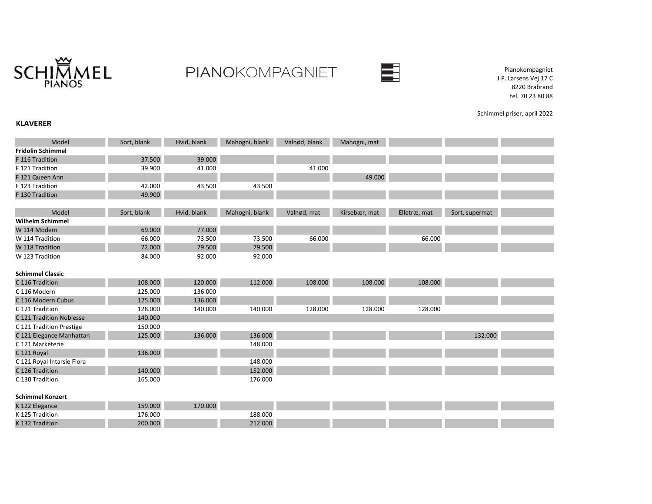

## PIANOKOMPAGNIET



Pianokompagniet J.P. Larsens Vej 17 C 8220 Brabrand tel. 70 23 80 88

Schimmel priser, april 2022

## KLAVERER

| Model                      | Sort, blank | Hvid, blank | Mahogni, blank | Valnød, blank | Mahogni, mat  |              |                |  |
|----------------------------|-------------|-------------|----------------|---------------|---------------|--------------|----------------|--|
| <b>Fridolin Schimmel</b>   |             |             |                |               |               |              |                |  |
| F 116 Tradition            | 37.500      | 39.000      |                |               |               |              |                |  |
| F 121 Tradition            | 39.900      | 41.000      |                | 41.000        |               |              |                |  |
| F 121 Queen Ann            |             |             |                |               | 49.000        |              |                |  |
| F 123 Tradition            | 42.000      | 43.500      | 43.500         |               |               |              |                |  |
| F 130 Tradition            | 49.900      |             |                |               |               |              |                |  |
|                            |             |             |                |               |               |              |                |  |
| Model                      | Sort, blank | Hvid, blank | Mahogni, blank | Valnød, mat   | Kirsebær, mat | Elletræ, mat | Sort, supermat |  |
| <b>Wilhelm Schimmel</b>    |             |             |                |               |               |              |                |  |
| W 114 Modern               | 69.000      | 77.000      |                |               |               |              |                |  |
| W 114 Tradition            | 66.000      | 73.500      | 73.500         | 66.000        |               | 66.000       |                |  |
| W 118 Tradition            | 72.000      | 79.500      | 79.500         |               |               |              |                |  |
| W 123 Tradition            | 84.000      | 92.000      | 92.000         |               |               |              |                |  |
|                            |             |             |                |               |               |              |                |  |
| <b>Schimmel Classic</b>    |             |             |                |               |               |              |                |  |
| C 116 Tradition            | 108.000     | 120.000     | 112.000        | 108.000       | 108.000       | 108.000      |                |  |
| C 116 Modern               | 125.000     | 136.000     |                |               |               |              |                |  |
| C 116 Modern Cubus         | 125.000     | 136.000     |                |               |               |              |                |  |
| C 121 Tradition            | 128.000     | 140.000     | 140.000        | 128.000       | 128.000       | 128.000      |                |  |
| C 121 Tradition Noblesse   | 140.000     |             |                |               |               |              |                |  |
| C 121 Tradition Prestige   | 150.000     |             |                |               |               |              |                |  |
| C 121 Elegance Manhattan   | 125.000     | 136.000     | 136.000        |               |               |              | 132.000        |  |
| C 121 Marketerie           |             |             | 148.000        |               |               |              |                |  |
| C 121 Royal                | 136.000     |             |                |               |               |              |                |  |
| C 121 Royal Intarsie Flora |             |             | 148.000        |               |               |              |                |  |
| C 126 Tradition            | 140.000     |             | 152.000        |               |               |              |                |  |
| C 130 Tradition            | 165.000     |             | 176.000        |               |               |              |                |  |
|                            |             |             |                |               |               |              |                |  |
| <b>Schimmel Konzert</b>    |             |             |                |               |               |              |                |  |
| K 122 Elegance             | 159.000     | 170.000     |                |               |               |              |                |  |
| K 125 Tradition            | 176.000     |             | 188.000        |               |               |              |                |  |
| K 132 Tradition            | 200.000     |             | 212.000        |               |               |              |                |  |